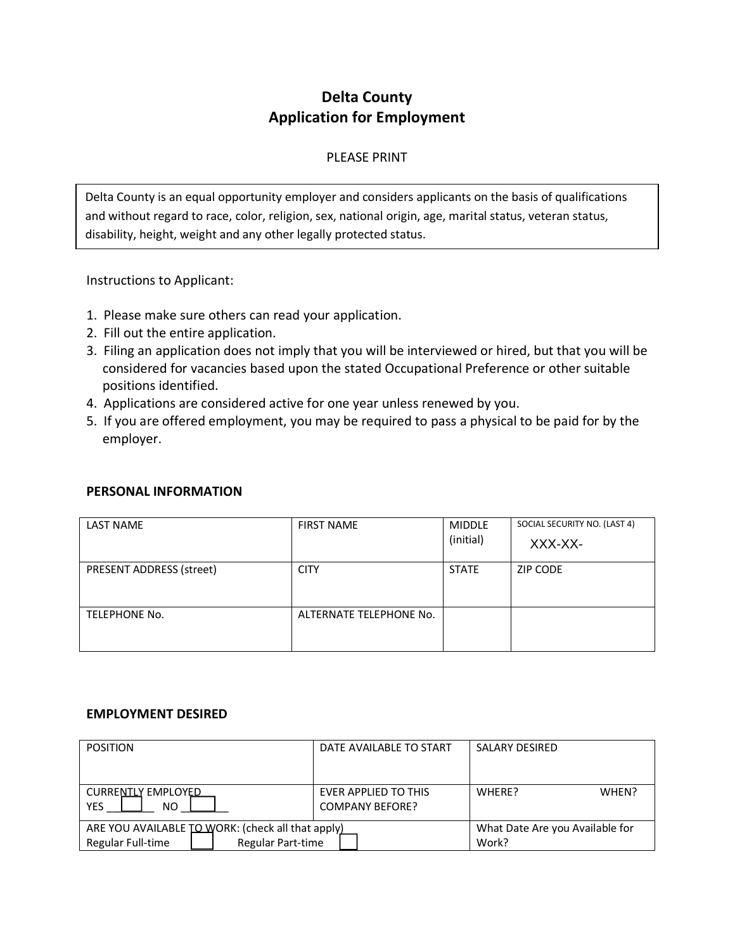# Delta County Application for Employment

#### PLEASE PRINT

Delta County is an equal opportunity employer and considers applicants on the basis of qualifications and without regard to race, color, religion, sex, national origin, age, marital status, veteran status, disability, height, weight and any other legally protected status.

Instructions to Applicant:

- 1. Please make sure others can read your application.
- 2. Fill out the entire application.
- 3. Filing an application does not imply that you will be interviewed or hired, but that you will be considered for vacancies based upon the stated Occupational Preference or other suitable positions identified.
- 4. Applications are considered active for one year unless renewed by you.
- 5. If you are offered employment, you may be required to pass a physical to be paid for by the employer.

| <b>LAST NAME</b>         | <b>FIRST NAME</b>       | <b>MIDDLE</b><br>(initial) | SOCIAL SECURITY NO. (LAST 4)<br>XXX-XX- |
|--------------------------|-------------------------|----------------------------|-----------------------------------------|
| PRESENT ADDRESS (street) | <b>CITY</b>             | <b>STATE</b>               | <b>ZIP CODE</b>                         |
| TELEPHONE No.            | ALTERNATE TELEPHONE No. |                            |                                         |

### PERSONAL INFORMATION

#### EMPLOYMENT DESIRED

| <b>POSITION</b>                                   | DATE AVAILABLE TO START | <b>SALARY DESIRED</b>           |
|---------------------------------------------------|-------------------------|---------------------------------|
|                                                   |                         |                                 |
|                                                   |                         |                                 |
| <b>CURRENTLY EMPLOYED</b>                         | EVER APPLIED TO THIS    | WHERE?<br>WHFN?                 |
|                                                   |                         |                                 |
| YES<br>NO.                                        | <b>COMPANY BEFORE?</b>  |                                 |
| ARE YOU AVAILABLE TO WORK: (check all that apply) |                         | What Date Are you Available for |
| <b>Regular Part-time</b><br>Regular Full-time     |                         | Work?                           |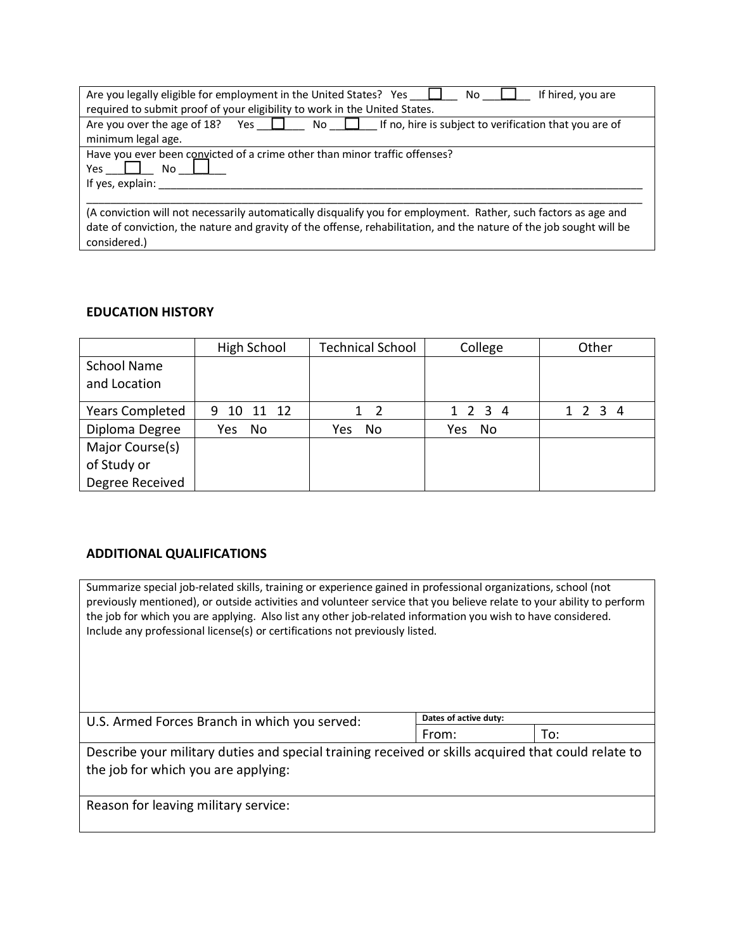| Are you legally eligible for employment in the United States? Yes $\Box$<br>If hired, you are<br>No l                   |
|-------------------------------------------------------------------------------------------------------------------------|
| required to submit proof of your eligibility to work in the United States.                                              |
|                                                                                                                         |
| If no, hire is subject to verification that you are of<br>Are you over the age of 18?<br>$\mathsf{No}$ $\Box$<br>Yes II |
| minimum legal age.                                                                                                      |
| Have you ever been convicted of a crime other than minor traffic offenses?                                              |
| Yes<br>No l                                                                                                             |
| If yes, explain:                                                                                                        |
|                                                                                                                         |
| (A conviction will not necessarily automatically disqualify you for employment. Rather, such factors as age and         |
| date of conviction, the nature and gravity of the offense, rehabilitation, and the nature of the job sought will be     |
|                                                                                                                         |
| considered.)                                                                                                            |

#### EDUCATION HISTORY

|                                    | High School | <b>Technical School</b> | College   | Other   |
|------------------------------------|-------------|-------------------------|-----------|---------|
| <b>School Name</b><br>and Location |             |                         |           |         |
|                                    |             |                         |           |         |
| <b>Years Completed</b>             | 9 10 11 12  | $1\quad 2$              | 1 2 3 4   | 1 2 3 4 |
| Diploma Degree                     | Yes<br>No   | No<br>Yes               | No<br>Yes |         |
| Major Course(s)                    |             |                         |           |         |
| of Study or                        |             |                         |           |         |
| Degree Received                    |             |                         |           |         |

### ADDITIONAL QUALIFICATIONS

Summarize special job-related skills, training or experience gained in professional organizations, school (not previously mentioned), or outside activities and volunteer service that you believe relate to your ability to perform the job for which you are applying. Also list any other job-related information you wish to have considered. Include any professional license(s) or certifications not previously listed.

| U.S. Armed Forces Branch in which you served:                                                                                              | Dates of active duty: |     |
|--------------------------------------------------------------------------------------------------------------------------------------------|-----------------------|-----|
|                                                                                                                                            | From:                 | To: |
| Describe your military duties and special training received or skills acquired that could relate to<br>the job for which you are applying: |                       |     |
| Reason for leaving military service:                                                                                                       |                       |     |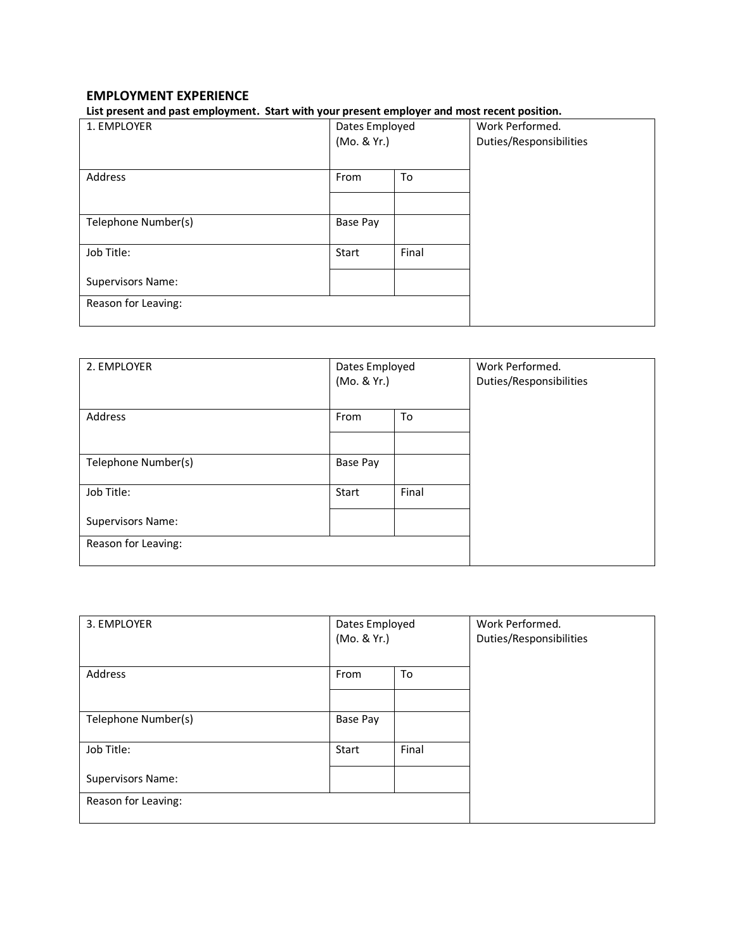# EMPLOYMENT EXPERIENCE

List present and past employment. Start with your present employer and most recent position.

| 1. EMPLOYER              | Dates Employed<br>(Mo. & Yr.) |       | Work Performed.<br>Duties/Responsibilities |
|--------------------------|-------------------------------|-------|--------------------------------------------|
| Address                  | From                          | To    |                                            |
| Telephone Number(s)      | Base Pay                      |       |                                            |
| Job Title:               | Start                         | Final |                                            |
| <b>Supervisors Name:</b> |                               |       |                                            |
| Reason for Leaving:      |                               |       |                                            |

| 2. EMPLOYER              | Dates Employed<br>(Mo. & Yr.) |       | Work Performed.<br>Duties/Responsibilities |
|--------------------------|-------------------------------|-------|--------------------------------------------|
| Address                  | From                          | To    |                                            |
| Telephone Number(s)      | Base Pay                      |       |                                            |
| Job Title:               | <b>Start</b>                  | Final |                                            |
| <b>Supervisors Name:</b> |                               |       |                                            |
| Reason for Leaving:      |                               |       |                                            |

| 3. EMPLOYER         | Dates Employed<br>(Mo. & Yr.) |       | Work Performed.<br>Duties/Responsibilities |
|---------------------|-------------------------------|-------|--------------------------------------------|
| Address             | From                          | To    |                                            |
|                     |                               |       |                                            |
| Telephone Number(s) | Base Pay                      |       |                                            |
| Job Title:          | Start                         | Final |                                            |
| Supervisors Name:   |                               |       |                                            |
| Reason for Leaving: |                               |       |                                            |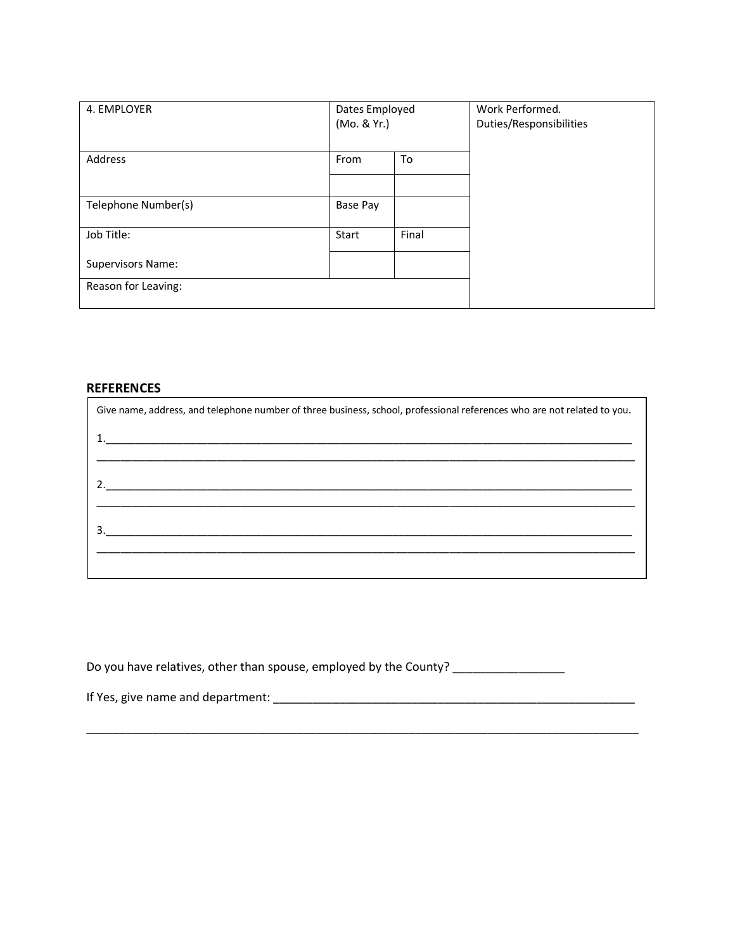| 4. EMPLOYER         | Dates Employed<br>(Mo. & Yr.) |       | Work Performed.<br>Duties/Responsibilities |
|---------------------|-------------------------------|-------|--------------------------------------------|
| Address             | From                          | To    |                                            |
| Telephone Number(s) | Base Pay                      |       |                                            |
| Job Title:          | Start                         | Final |                                            |
| Supervisors Name:   |                               |       |                                            |
| Reason for Leaving: |                               |       |                                            |

## REFERENCES

| Give name, address, and telephone number of three business, school, professional references who are not related to you. |  |
|-------------------------------------------------------------------------------------------------------------------------|--|
|                                                                                                                         |  |
|                                                                                                                         |  |
|                                                                                                                         |  |
|                                                                                                                         |  |
|                                                                                                                         |  |
|                                                                                                                         |  |

| Do you have relatives, other than spouse, employed by the County? |  |
|-------------------------------------------------------------------|--|
|                                                                   |  |

\_\_\_\_\_\_\_\_\_\_\_\_\_\_\_\_\_\_\_\_\_\_\_\_\_\_\_\_\_\_\_\_\_\_\_\_\_\_\_\_\_\_\_\_\_\_\_\_\_\_\_\_\_\_\_\_\_\_\_\_\_\_\_\_\_\_\_\_\_\_\_\_\_\_\_\_\_\_\_\_\_\_\_\_

If Yes, give name and department: \_\_\_\_\_\_\_\_\_\_\_\_\_\_\_\_\_\_\_\_\_\_\_\_\_\_\_\_\_\_\_\_\_\_\_\_\_\_\_\_\_\_\_\_\_\_\_\_\_\_\_\_\_\_\_